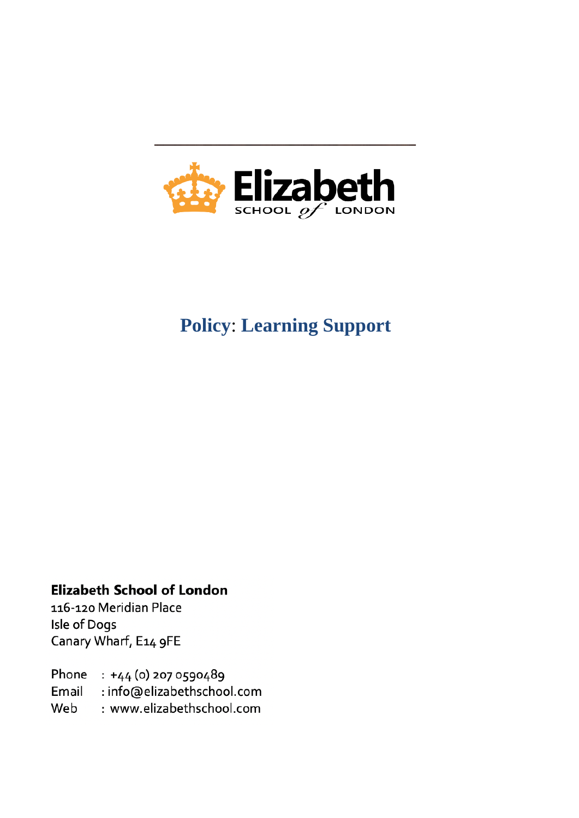

# **Policy**: **Learning Support**

## **Elizabeth School of London**

116-120 Meridian Place Isle of Dogs Canary Wharf, E14 9FE

Phone : +44 (0) 207 0590489 Email : info@elizabethschool.com Web : www.elizabethschool.com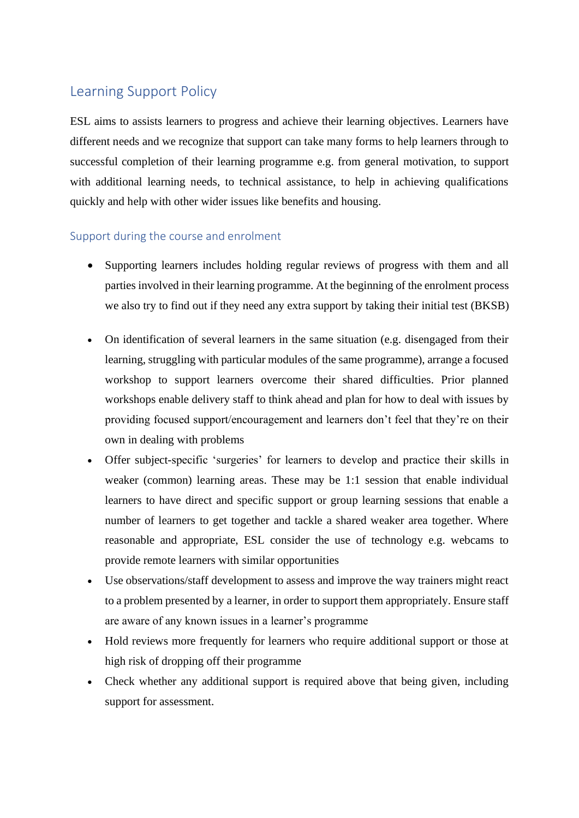## Learning Support Policy

ESL aims to assists learners to progress and achieve their learning objectives. Learners have different needs and we recognize that support can take many forms to help learners through to successful completion of their learning programme e.g. from general motivation, to support with additional learning needs, to technical assistance, to help in achieving qualifications quickly and help with other wider issues like benefits and housing.

### Support during the course and enrolment

- Supporting learners includes holding regular reviews of progress with them and all parties involved in their learning programme. At the beginning of the enrolment process we also try to find out if they need any extra support by taking their initial test (BKSB)
- On identification of several learners in the same situation (e.g. disengaged from their learning, struggling with particular modules of the same programme), arrange a focused workshop to support learners overcome their shared difficulties. Prior planned workshops enable delivery staff to think ahead and plan for how to deal with issues by providing focused support/encouragement and learners don't feel that they're on their own in dealing with problems
- Offer subject-specific 'surgeries' for learners to develop and practice their skills in weaker (common) learning areas. These may be 1:1 session that enable individual learners to have direct and specific support or group learning sessions that enable a number of learners to get together and tackle a shared weaker area together. Where reasonable and appropriate, ESL consider the use of technology e.g. webcams to provide remote learners with similar opportunities
- Use observations/staff development to assess and improve the way trainers might react to a problem presented by a learner, in order to support them appropriately. Ensure staff are aware of any known issues in a learner's programme
- Hold reviews more frequently for learners who require additional support or those at high risk of dropping off their programme
- Check whether any additional support is required above that being given, including support for assessment.